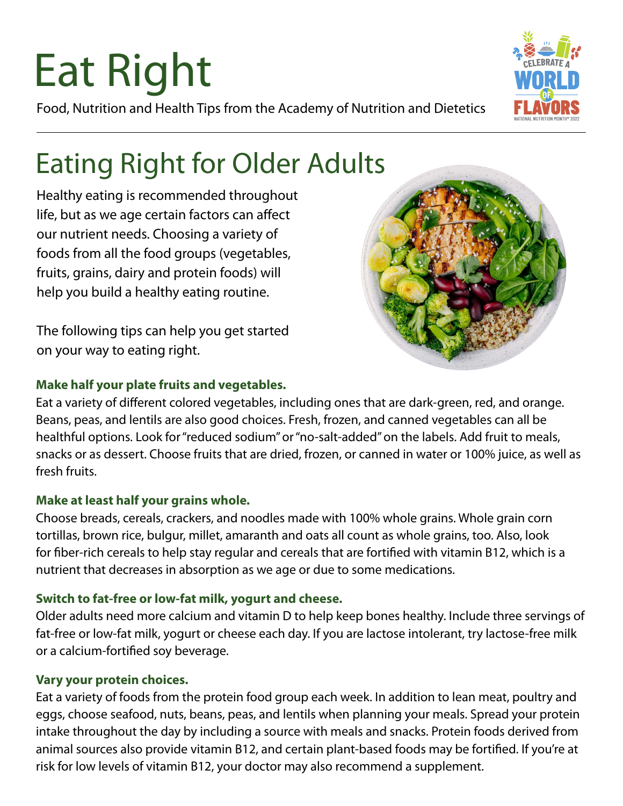# Eat Right

Food, Nutrition and Health Tips from the Academy of Nutrition and Dietetics

# Eating Right for Older Adults

Healthy eating is recommended throughout life, but as we age certain factors can affect our nutrient needs. Choosing a variety of foods from all the food groups (vegetables, fruits, grains, dairy and protein foods) will help you build a healthy eating routine.

The following tips can help you get started on your way to eating right.

## **Make half your plate fruits and vegetables.**

Eat a variety of different colored vegetables, including ones that are dark-green, red, and orange. Beans, peas, and lentils are also good choices. Fresh, frozen, and canned vegetables can all be healthful options. Look for "reduced sodium" or "no-salt-added" on the labels. Add fruit to meals, snacks or as dessert. Choose fruits that are dried, frozen, or canned in water or 100% juice, as well as fresh fruits.

# **Make at least half your grains whole.**

Choose breads, cereals, crackers, and noodles made with 100% whole grains. Whole grain corn tortillas, brown rice, bulgur, millet, amaranth and oats all count as whole grains, too. Also, look for fiber-rich cereals to help stay regular and cereals that are fortified with vitamin B12, which is a nutrient that decreases in absorption as we age or due to some medications.

# **Switch to fat-free or low-fat milk, yogurt and cheese.**

Older adults need more calcium and vitamin D to help keep bones healthy. Include three servings of fat-free or low-fat milk, yogurt or cheese each day. If you are lactose intolerant, try lactose-free milk or a calcium-fortified soy beverage.

## **Vary your protein choices.**

Eat a variety of foods from the protein food group each week. In addition to lean meat, poultry and eggs, choose seafood, nuts, beans, peas, and lentils when planning your meals. Spread your protein intake throughout the day by including a source with meals and snacks. Protein foods derived from animal sources also provide vitamin B12, and certain plant-based foods may be fortified. If you're at risk for low levels of vitamin B12, your doctor may also recommend a supplement.